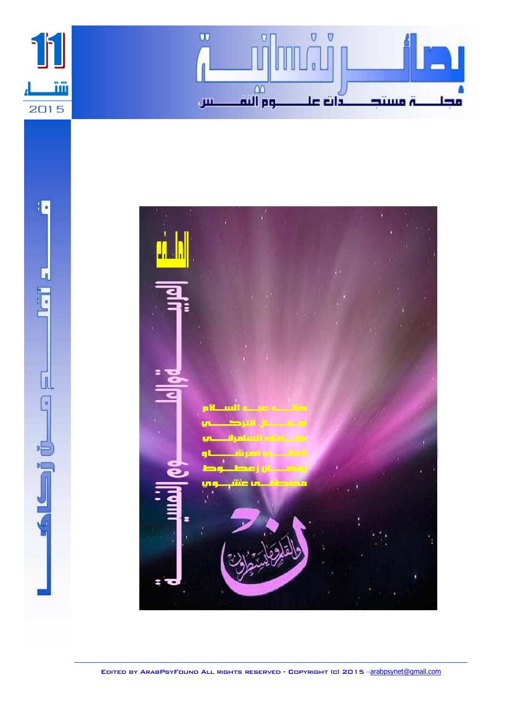



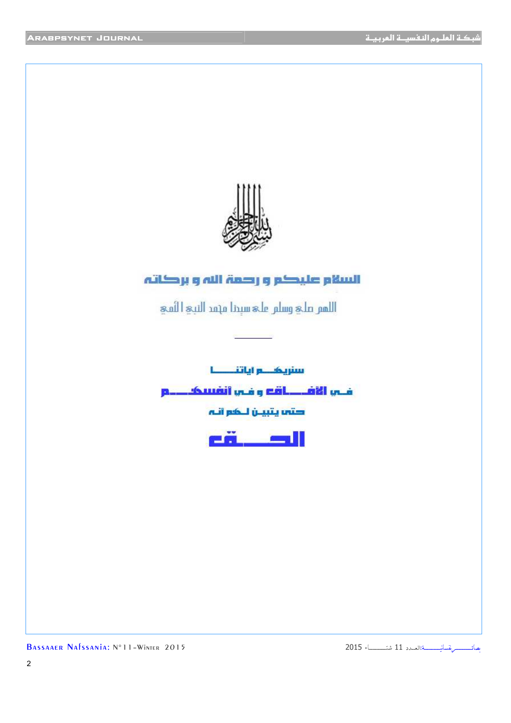

## السلام عليكم وارصمة الله وبركاته

اللمتر على وسلير على سيدنا مهمد النبيج الثمج

سنريک در اياتنــــــا

فلس الأفيليات وافس أنفسكيليو

' V



- 1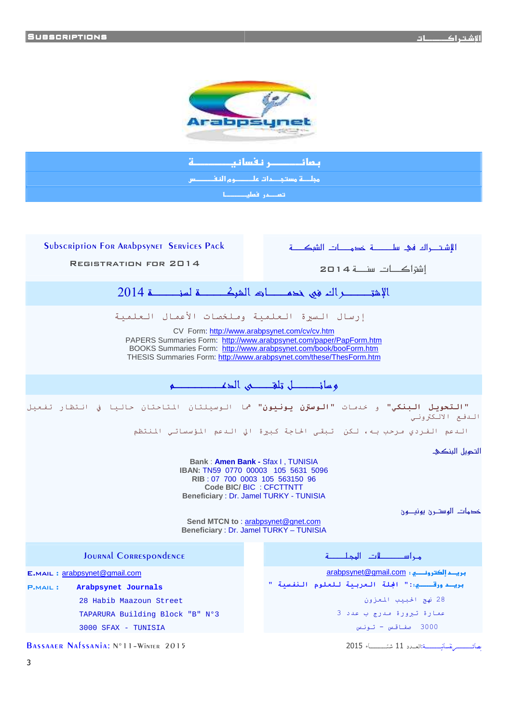

ä ــــــــر نقسانی ىمائ <u>مملَّمة مستجدات على سموم النف حس</u>س أتعصم فعليصطا

**SUBSCRIPTION FOR ARABPSYNET SERVICES PACK REGISTRATION FOR 2014** اشقاكات سنعة 2014 الإشتر حيل الله في خدم ات الشرك حسة لسن حسنة 2014 إرسال السيرة العلمية وملخصات الأعمال العلمية CV Form: http://www.arabpsynet.com/cv/cv.htm PAPERS Summaries Form: http://www.arabpsynet.com/paper/PapForm.htm BOOKS Summaries Form: http://www.arabpsynet.com/book/booForm.htm THESIS Summaries Form: http://www.arabpsynet.com/these/ThesForm.htm وسائدان تلقدى الدف "التعويل البنكي" و خدمات "الوسترن يونيون" <sup>ه</sup>ما الوسيلتان المتاحتان حاليا في انتظار تفعيل الدفع الالكتروني الندعم الفردي مرحب به، لكن تبقى الحاجة كبيرة الي الندعم المؤسساتي المنتظم التحهيل البنكئ Bank: Amen Bank - Sfax I, TUNISIA IBAN: TN59 0770 00003 105 5631 5096 RIB: 07 700 0003 105 563150 96 Code BIC/ BIC : CFCTTNTT Beneficiary: Dr. Jamel TURKY - TUNISIA خدمات الوستــرن يونيـــون Send MTCN to: arabpsynet@gnet.com Beneficiary: Dr. Jamel TURKY - TUNISIA مراســــــــات المجلــــــــة JOURNAL CORRESPONDENCE arabpsynet@gmail.com : بريد الكترونـــــــّ ي E.MAIL: arabpsynet@gmail.com بريسد ورقسسسيا:" الجلة العربية للعلوم النفسية " Arabpsynet Journals **P.MAIL:** 28 نهج الحبيب المعزون 28 Habib Maazoun Street عمارة تبرورة مدرج ب عدد 3 TAPARURA Building Block "B" Nº3  $au = 3000$  صفاقس - تونس  $3000$  SFAX - TUNISIA BASSAAER NAFSSANIA: N°11-WINTER 2015